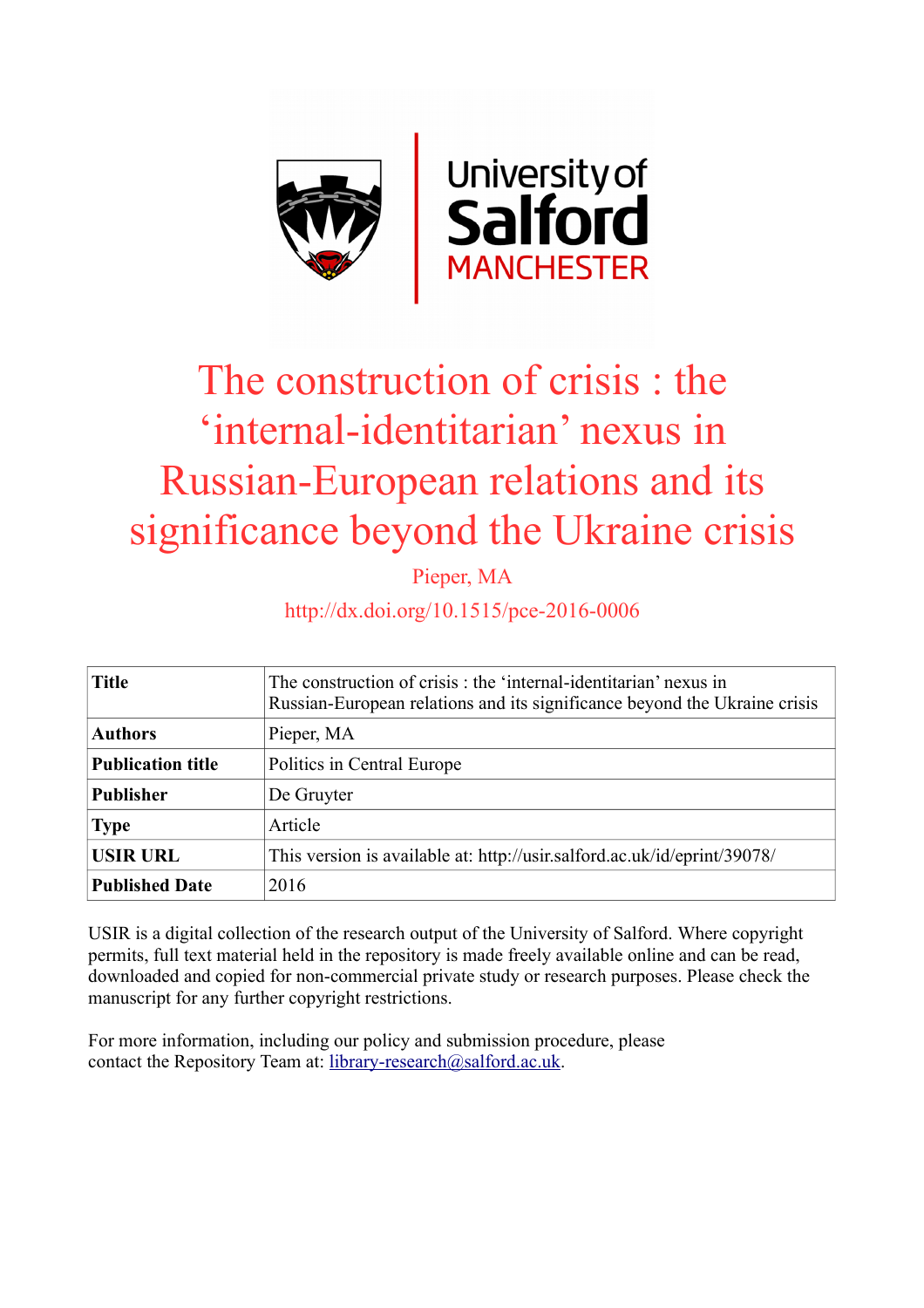

# The construction of crisis : the 'internal-identitarian' nexus in Russian-European relations and its significance beyond the Ukraine crisis

Pieper, MA

http://dx.doi.org/10.1515/pce-2016-0006

| <b>Title</b>             | The construction of crisis : the 'internal-identitarian' nexus in<br>Russian-European relations and its significance beyond the Ukraine crisis |
|--------------------------|------------------------------------------------------------------------------------------------------------------------------------------------|
| <b>Authors</b>           | Pieper, MA                                                                                                                                     |
| <b>Publication title</b> | Politics in Central Europe                                                                                                                     |
| <b>Publisher</b>         | De Gruyter                                                                                                                                     |
| <b>Type</b>              | Article                                                                                                                                        |
| <b>USIR URL</b>          | This version is available at: http://usir.salford.ac.uk/id/eprint/39078/                                                                       |
| <b>Published Date</b>    | 2016                                                                                                                                           |

USIR is a digital collection of the research output of the University of Salford. Where copyright permits, full text material held in the repository is made freely available online and can be read, downloaded and copied for non-commercial private study or research purposes. Please check the manuscript for any further copyright restrictions.

For more information, including our policy and submission procedure, please contact the Repository Team at: [library-research@salford.ac.uk.](mailto:library-research@salford.ac.uk)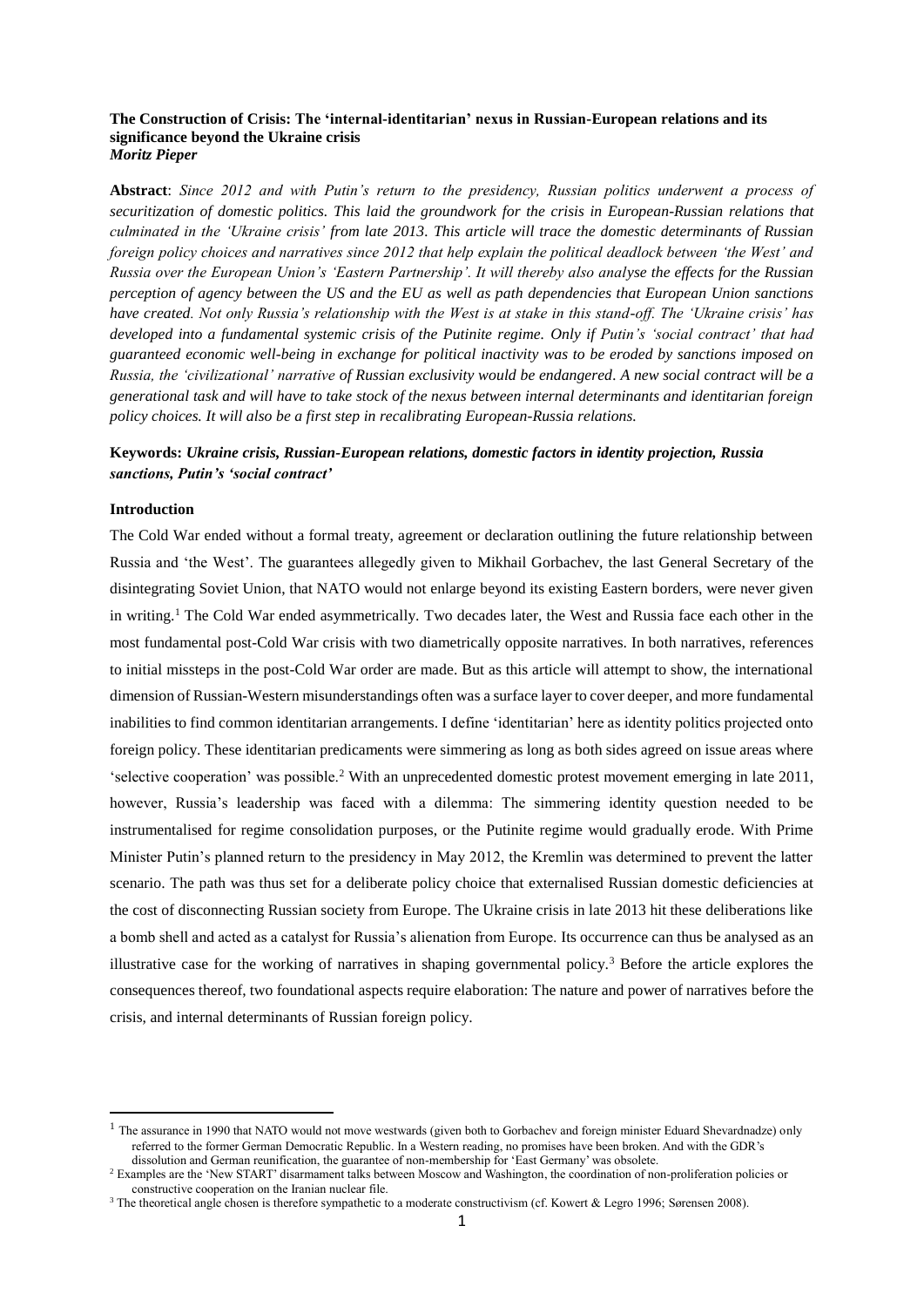# **The Construction of Crisis: The 'internal-identitarian' nexus in Russian-European relations and its significance beyond the Ukraine crisis** *Moritz Pieper*

**Abstract**: *Since 2012 and with Putin's return to the presidency, Russian politics underwent a process of securitization of domestic politics. This laid the groundwork for the crisis in European-Russian relations that culminated in the 'Ukraine crisis' from late 2013. This article will trace the domestic determinants of Russian foreign policy choices and narratives since 2012 that help explain the political deadlock between 'the West' and Russia over the European Union's 'Eastern Partnership'. It will thereby also analyse the effects for the Russian perception of agency between the US and the EU as well as path dependencies that European Union sanctions have created. Not only Russia's relationship with the West is at stake in this stand-off. The 'Ukraine crisis' has developed into a fundamental systemic crisis of the Putinite regime. Only if Putin's 'social contract' that had guaranteed economic well-being in exchange for political inactivity was to be eroded by sanctions imposed on Russia, the 'civilizational' narrative of Russian exclusivity would be endangered. A new social contract will be a generational task and will have to take stock of the nexus between internal determinants and identitarian foreign policy choices. It will also be a first step in recalibrating European-Russia relations.*

# **Keywords:** *Ukraine crisis, Russian-European relations, domestic factors in identity projection, Russia sanctions, Putin's 'social contract'*

## **Introduction**

**.** 

The Cold War ended without a formal treaty, agreement or declaration outlining the future relationship between Russia and 'the West'. The guarantees allegedly given to Mikhail Gorbachev, the last General Secretary of the disintegrating Soviet Union, that NATO would not enlarge beyond its existing Eastern borders, were never given in writing.<sup>1</sup> The Cold War ended asymmetrically. Two decades later, the West and Russia face each other in the most fundamental post-Cold War crisis with two diametrically opposite narratives. In both narratives, references to initial missteps in the post-Cold War order are made. But as this article will attempt to show, the international dimension of Russian-Western misunderstandings often was a surface layer to cover deeper, and more fundamental inabilities to find common identitarian arrangements. I define 'identitarian' here as identity politics projected onto foreign policy. These identitarian predicaments were simmering as long as both sides agreed on issue areas where 'selective cooperation' was possible.<sup>2</sup> With an unprecedented domestic protest movement emerging in late 2011, however, Russia's leadership was faced with a dilemma: The simmering identity question needed to be instrumentalised for regime consolidation purposes, or the Putinite regime would gradually erode. With Prime Minister Putin's planned return to the presidency in May 2012, the Kremlin was determined to prevent the latter scenario. The path was thus set for a deliberate policy choice that externalised Russian domestic deficiencies at the cost of disconnecting Russian society from Europe. The Ukraine crisis in late 2013 hit these deliberations like a bomb shell and acted as a catalyst for Russia's alienation from Europe. Its occurrence can thus be analysed as an illustrative case for the working of narratives in shaping governmental policy.<sup>3</sup> Before the article explores the consequences thereof, two foundational aspects require elaboration: The nature and power of narratives before the crisis, and internal determinants of Russian foreign policy.

 $<sup>1</sup>$  The assurance in 1990 that NATO would not move westwards (given both to Gorbachev and foreign minister Eduard Shevardnadze) only</sup> referred to the former German Democratic Republic. In a Western reading, no promises have been broken. And with the GDR's dissolution and German reunification, the guarantee of non-membership for 'East Germany' was obsolete.

<sup>&</sup>lt;sup>2</sup> Examples are the 'New START' disarmament talks between Moscow and Washington, the coordination of non-proliferation policies or constructive cooperation on the Iranian nuclear file.

<sup>3</sup> The theoretical angle chosen is therefore sympathetic to a moderate constructivism (cf. Kowert & Legro 1996; Sørensen 2008).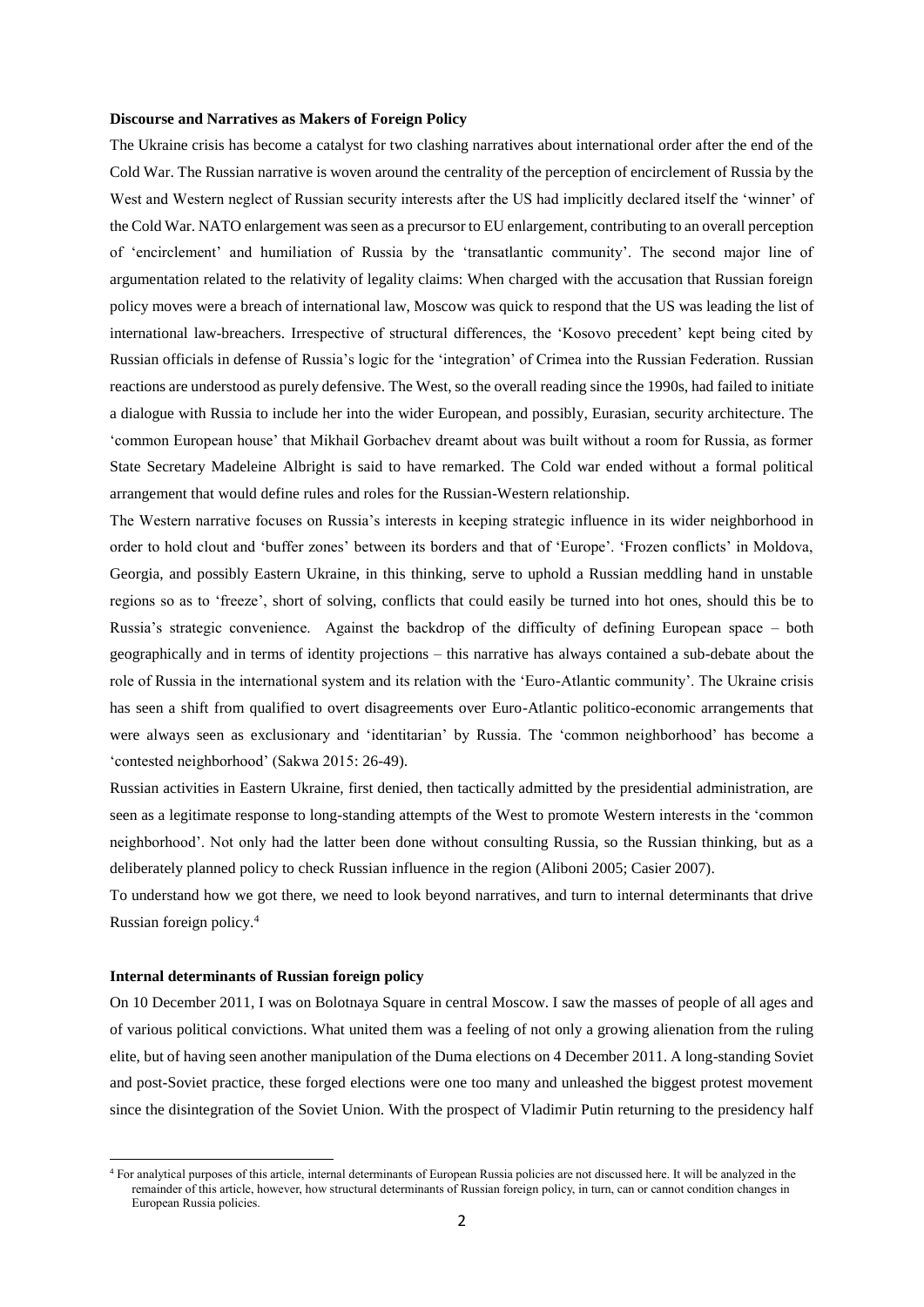#### **Discourse and Narratives as Makers of Foreign Policy**

The Ukraine crisis has become a catalyst for two clashing narratives about international order after the end of the Cold War. The Russian narrative is woven around the centrality of the perception of encirclement of Russia by the West and Western neglect of Russian security interests after the US had implicitly declared itself the 'winner' of the Cold War. NATO enlargement was seen as a precursor to EU enlargement, contributing to an overall perception of 'encirclement' and humiliation of Russia by the 'transatlantic community'. The second major line of argumentation related to the relativity of legality claims: When charged with the accusation that Russian foreign policy moves were a breach of international law, Moscow was quick to respond that the US was leading the list of international law-breachers. Irrespective of structural differences, the 'Kosovo precedent' kept being cited by Russian officials in defense of Russia's logic for the 'integration' of Crimea into the Russian Federation. Russian reactions are understood as purely defensive. The West, so the overall reading since the 1990s, had failed to initiate a dialogue with Russia to include her into the wider European, and possibly, Eurasian, security architecture. The 'common European house' that Mikhail Gorbachev dreamt about was built without a room for Russia, as former State Secretary Madeleine Albright is said to have remarked. The Cold war ended without a formal political arrangement that would define rules and roles for the Russian-Western relationship.

The Western narrative focuses on Russia's interests in keeping strategic influence in its wider neighborhood in order to hold clout and 'buffer zones' between its borders and that of 'Europe'. 'Frozen conflicts' in Moldova, Georgia, and possibly Eastern Ukraine, in this thinking, serve to uphold a Russian meddling hand in unstable regions so as to 'freeze', short of solving, conflicts that could easily be turned into hot ones, should this be to Russia's strategic convenience. Against the backdrop of the difficulty of defining European space – both geographically and in terms of identity projections – this narrative has always contained a sub-debate about the role of Russia in the international system and its relation with the 'Euro-Atlantic community'. The Ukraine crisis has seen a shift from qualified to overt disagreements over Euro-Atlantic politico-economic arrangements that were always seen as exclusionary and 'identitarian' by Russia. The 'common neighborhood' has become a 'contested neighborhood' (Sakwa 2015: 26-49).

Russian activities in Eastern Ukraine, first denied, then tactically admitted by the presidential administration, are seen as a legitimate response to long-standing attempts of the West to promote Western interests in the 'common neighborhood'. Not only had the latter been done without consulting Russia, so the Russian thinking, but as a deliberately planned policy to check Russian influence in the region (Aliboni 2005; Casier 2007).

To understand how we got there, we need to look beyond narratives, and turn to internal determinants that drive Russian foreign policy.<sup>4</sup>

# **Internal determinants of Russian foreign policy**

**.** 

On 10 December 2011, I was on Bolotnaya Square in central Moscow. I saw the masses of people of all ages and of various political convictions. What united them was a feeling of not only a growing alienation from the ruling elite, but of having seen another manipulation of the Duma elections on 4 December 2011. A long-standing Soviet and post-Soviet practice, these forged elections were one too many and unleashed the biggest protest movement since the disintegration of the Soviet Union. With the prospect of Vladimir Putin returning to the presidency half

<sup>4</sup> For analytical purposes of this article, internal determinants of European Russia policies are not discussed here. It will be analyzed in the remainder of this article, however, how structural determinants of Russian foreign policy, in turn, can or cannot condition changes in European Russia policies.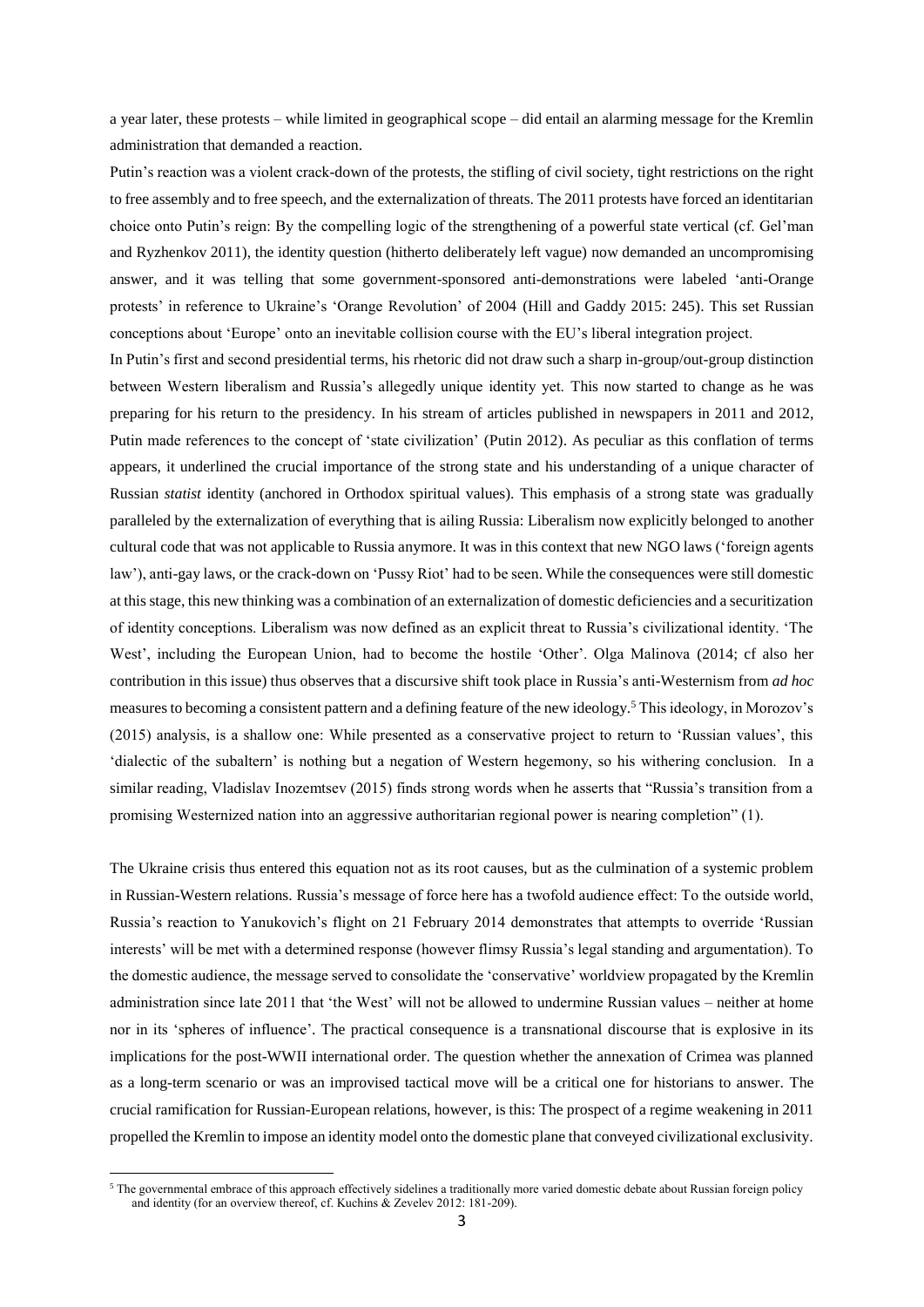a year later, these protests – while limited in geographical scope – did entail an alarming message for the Kremlin administration that demanded a reaction.

Putin's reaction was a violent crack-down of the protests, the stifling of civil society, tight restrictions on the right to free assembly and to free speech, and the externalization of threats. The 2011 protests have forced an identitarian choice onto Putin's reign: By the compelling logic of the strengthening of a powerful state vertical (cf. Gel'man and Ryzhenkov 2011), the identity question (hitherto deliberately left vague) now demanded an uncompromising answer, and it was telling that some government-sponsored anti-demonstrations were labeled 'anti-Orange protests' in reference to Ukraine's 'Orange Revolution' of 2004 (Hill and Gaddy 2015: 245). This set Russian conceptions about 'Europe' onto an inevitable collision course with the EU's liberal integration project.

In Putin's first and second presidential terms, his rhetoric did not draw such a sharp in-group/out-group distinction between Western liberalism and Russia's allegedly unique identity yet. This now started to change as he was preparing for his return to the presidency. In his stream of articles published in newspapers in 2011 and 2012, Putin made references to the concept of 'state civilization' (Putin 2012). As peculiar as this conflation of terms appears, it underlined the crucial importance of the strong state and his understanding of a unique character of Russian *statist* identity (anchored in Orthodox spiritual values). This emphasis of a strong state was gradually paralleled by the externalization of everything that is ailing Russia: Liberalism now explicitly belonged to another cultural code that was not applicable to Russia anymore. It was in this context that new NGO laws ('foreign agents law'), anti-gay laws, or the crack-down on 'Pussy Riot' had to be seen. While the consequences were still domestic at this stage, this new thinking was a combination of an externalization of domestic deficiencies and a securitization of identity conceptions. Liberalism was now defined as an explicit threat to Russia's civilizational identity. 'The West', including the European Union, had to become the hostile 'Other'. Olga Malinova (2014; cf also her contribution in this issue) thus observes that a discursive shift took place in Russia's anti-Westernism from *ad hoc* measures to becoming a consistent pattern and a defining feature of the new ideology.<sup>5</sup> This ideology, in Morozov's (2015) analysis, is a shallow one: While presented as a conservative project to return to 'Russian values', this 'dialectic of the subaltern' is nothing but a negation of Western hegemony, so his withering conclusion. In a similar reading, Vladislav Inozemtsev (2015) finds strong words when he asserts that "Russia's transition from a promising Westernized nation into an aggressive authoritarian regional power is nearing completion" (1).

The Ukraine crisis thus entered this equation not as its root causes, but as the culmination of a systemic problem in Russian-Western relations. Russia's message of force here has a twofold audience effect: To the outside world, Russia's reaction to Yanukovich's flight on 21 February 2014 demonstrates that attempts to override 'Russian interests' will be met with a determined response (however flimsy Russia's legal standing and argumentation). To the domestic audience, the message served to consolidate the 'conservative' worldview propagated by the Kremlin administration since late 2011 that 'the West' will not be allowed to undermine Russian values – neither at home nor in its 'spheres of influence'. The practical consequence is a transnational discourse that is explosive in its implications for the post-WWII international order. The question whether the annexation of Crimea was planned as a long-term scenario or was an improvised tactical move will be a critical one for historians to answer. The crucial ramification for Russian-European relations, however, is this: The prospect of a regime weakening in 2011 propelled the Kremlin to impose an identity model onto the domestic plane that conveyed civilizational exclusivity.

1

<sup>&</sup>lt;sup>5</sup> The governmental embrace of this approach effectively sidelines a traditionally more varied domestic debate about Russian foreign policy and identity (for an overview thereof, cf. Kuchins  $\&$  Zevelev 2012: 181-209).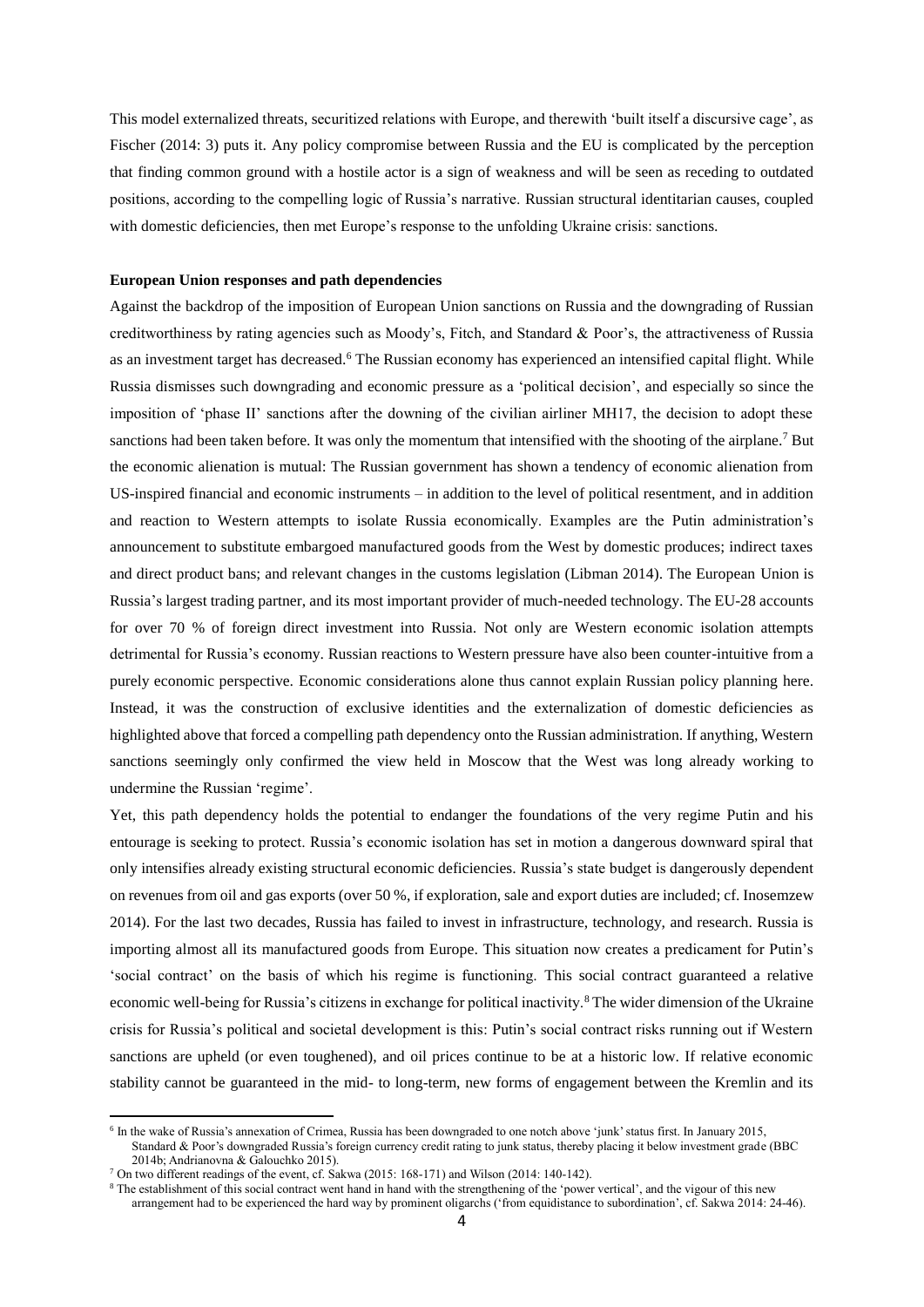This model externalized threats, securitized relations with Europe, and therewith 'built itself a discursive cage', as Fischer (2014: 3) puts it. Any policy compromise between Russia and the EU is complicated by the perception that finding common ground with a hostile actor is a sign of weakness and will be seen as receding to outdated positions, according to the compelling logic of Russia's narrative. Russian structural identitarian causes, coupled with domestic deficiencies, then met Europe's response to the unfolding Ukraine crisis: sanctions.

# **European Union responses and path dependencies**

Against the backdrop of the imposition of European Union sanctions on Russia and the downgrading of Russian creditworthiness by rating agencies such as Moody's, Fitch, and Standard & Poor's, the attractiveness of Russia as an investment target has decreased.<sup>6</sup> The Russian economy has experienced an intensified capital flight. While Russia dismisses such downgrading and economic pressure as a 'political decision', and especially so since the imposition of 'phase II' sanctions after the downing of the civilian airliner MH17, the decision to adopt these sanctions had been taken before. It was only the momentum that intensified with the shooting of the airplane.<sup>7</sup> But the economic alienation is mutual: The Russian government has shown a tendency of economic alienation from US-inspired financial and economic instruments – in addition to the level of political resentment, and in addition and reaction to Western attempts to isolate Russia economically. Examples are the Putin administration's announcement to substitute embargoed manufactured goods from the West by domestic produces; indirect taxes and direct product bans; and relevant changes in the customs legislation (Libman 2014). The European Union is Russia's largest trading partner, and its most important provider of much-needed technology. The EU-28 accounts for over 70 % of foreign direct investment into Russia. Not only are Western economic isolation attempts detrimental for Russia's economy. Russian reactions to Western pressure have also been counter-intuitive from a purely economic perspective. Economic considerations alone thus cannot explain Russian policy planning here. Instead, it was the construction of exclusive identities and the externalization of domestic deficiencies as highlighted above that forced a compelling path dependency onto the Russian administration. If anything, Western sanctions seemingly only confirmed the view held in Moscow that the West was long already working to undermine the Russian 'regime'.

Yet, this path dependency holds the potential to endanger the foundations of the very regime Putin and his entourage is seeking to protect. Russia's economic isolation has set in motion a dangerous downward spiral that only intensifies already existing structural economic deficiencies. Russia's state budget is dangerously dependent on revenues from oil and gas exports (over 50 %, if exploration, sale and export duties are included; cf. Inosemzew 2014). For the last two decades, Russia has failed to invest in infrastructure, technology, and research. Russia is importing almost all its manufactured goods from Europe. This situation now creates a predicament for Putin's 'social contract' on the basis of which his regime is functioning. This social contract guaranteed a relative economic well-being for Russia's citizens in exchange for political inactivity.<sup>8</sup> The wider dimension of the Ukraine crisis for Russia's political and societal development is this: Putin's social contract risks running out if Western sanctions are upheld (or even toughened), and oil prices continue to be at a historic low. If relative economic stability cannot be guaranteed in the mid- to long-term, new forms of engagement between the Kremlin and its

**.** 

<sup>&</sup>lt;sup>6</sup> In the wake of Russia's annexation of Crimea, Russia has been downgraded to one notch above 'junk' status first. In January 2015,

Standard & Poor's downgraded Russia's foreign currency credit rating to junk status, thereby placing it below investment grade (BBC 2014b; Andrianovna & Galouchko 2015).

<sup>7</sup> On two different readings of the event, cf. Sakwa (2015: 168-171) and Wilson (2014: 140-142).

<sup>&</sup>lt;sup>8</sup> The establishment of this social contract went hand in hand with the strengthening of the 'power vertical', and the vigour of this new arrangement had to be experienced the hard way by prominent oligarchs ('from equidistance to subordination', cf. Sakwa 2014: 24-46).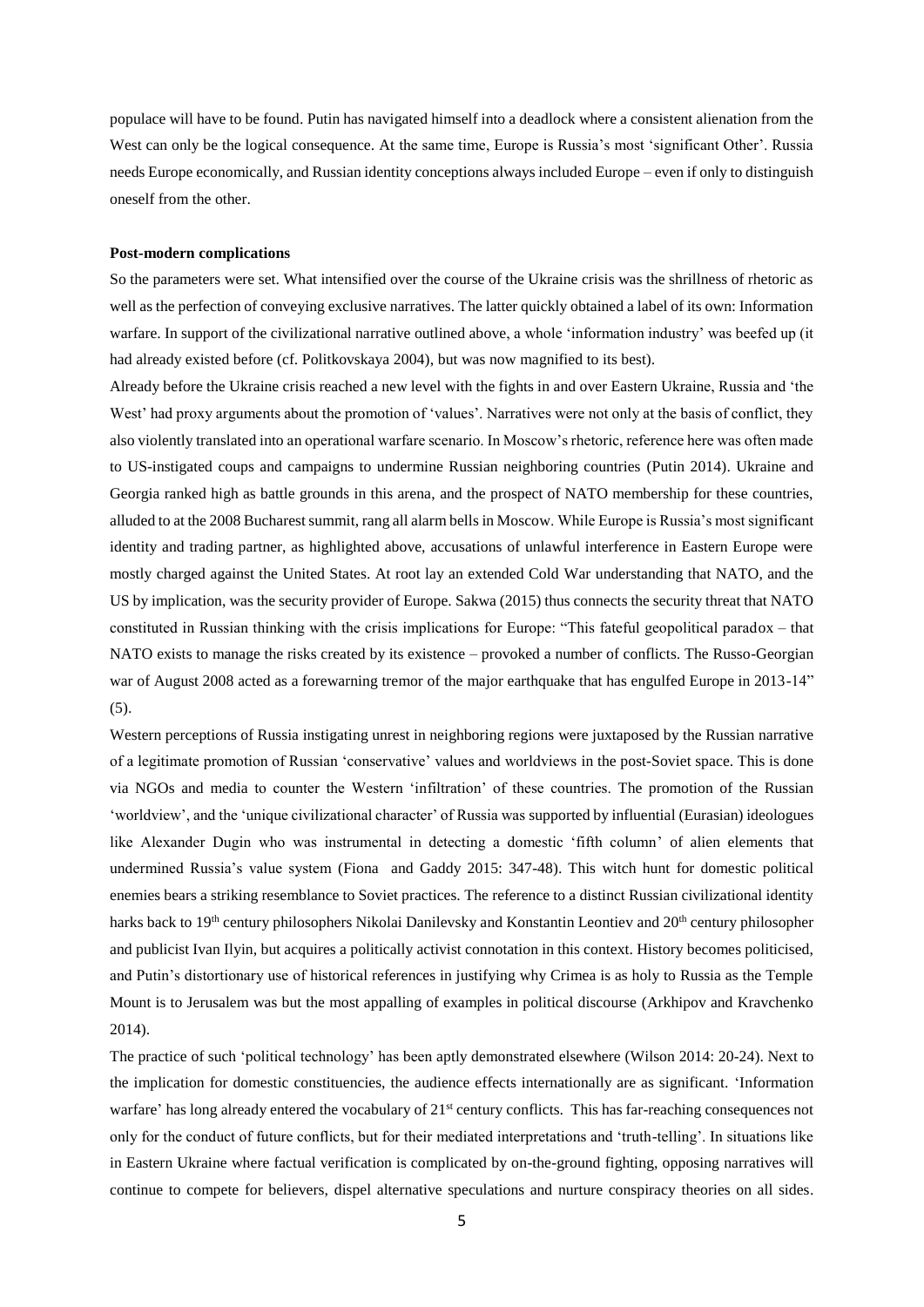populace will have to be found. Putin has navigated himself into a deadlock where a consistent alienation from the West can only be the logical consequence. At the same time, Europe is Russia's most 'significant Other'. Russia needs Europe economically, and Russian identity conceptions always included Europe – even if only to distinguish oneself from the other.

## **Post-modern complications**

So the parameters were set. What intensified over the course of the Ukraine crisis was the shrillness of rhetoric as well as the perfection of conveying exclusive narratives. The latter quickly obtained a label of its own: Information warfare. In support of the civilizational narrative outlined above, a whole 'information industry' was beefed up (it had already existed before (cf. Politkovskaya 2004), but was now magnified to its best).

Already before the Ukraine crisis reached a new level with the fights in and over Eastern Ukraine, Russia and 'the West' had proxy arguments about the promotion of 'values'. Narratives were not only at the basis of conflict, they also violently translated into an operational warfare scenario. In Moscow's rhetoric, reference here was often made to US-instigated coups and campaigns to undermine Russian neighboring countries (Putin 2014). Ukraine and Georgia ranked high as battle grounds in this arena, and the prospect of NATO membership for these countries, alluded to at the 2008 Bucharest summit, rang all alarm bells in Moscow. While Europe is Russia's most significant identity and trading partner, as highlighted above, accusations of unlawful interference in Eastern Europe were mostly charged against the United States. At root lay an extended Cold War understanding that NATO, and the US by implication, was the security provider of Europe. Sakwa (2015) thus connects the security threat that NATO constituted in Russian thinking with the crisis implications for Europe: "This fateful geopolitical paradox – that NATO exists to manage the risks created by its existence – provoked a number of conflicts. The Russo-Georgian war of August 2008 acted as a forewarning tremor of the major earthquake that has engulfed Europe in 2013-14" (5).

Western perceptions of Russia instigating unrest in neighboring regions were juxtaposed by the Russian narrative of a legitimate promotion of Russian 'conservative' values and worldviews in the post-Soviet space. This is done via NGOs and media to counter the Western 'infiltration' of these countries. The promotion of the Russian 'worldview', and the 'unique civilizational character' of Russia was supported by influential (Eurasian) ideologues like Alexander Dugin who was instrumental in detecting a domestic 'fifth column' of alien elements that undermined Russia's value system (Fiona and Gaddy 2015: 347-48). This witch hunt for domestic political enemies bears a striking resemblance to Soviet practices. The reference to a distinct Russian civilizational identity harks back to 19<sup>th</sup> century philosophers Nikolai Danilevsky and Konstantin Leontiev and 20<sup>th</sup> century philosopher and publicist Ivan Ilyin, but acquires a politically activist connotation in this context. History becomes politicised, and Putin's distortionary use of historical references in justifying why Crimea is as holy to Russia as the Temple Mount is to Jerusalem was but the most appalling of examples in political discourse (Arkhipov and Kravchenko 2014).

The practice of such 'political technology' has been aptly demonstrated elsewhere (Wilson 2014: 20-24). Next to the implication for domestic constituencies, the audience effects internationally are as significant. 'Information warfare' has long already entered the vocabulary of 21<sup>st</sup> century conflicts. This has far-reaching consequences not only for the conduct of future conflicts, but for their mediated interpretations and 'truth-telling'. In situations like in Eastern Ukraine where factual verification is complicated by on-the-ground fighting, opposing narratives will continue to compete for believers, dispel alternative speculations and nurture conspiracy theories on all sides.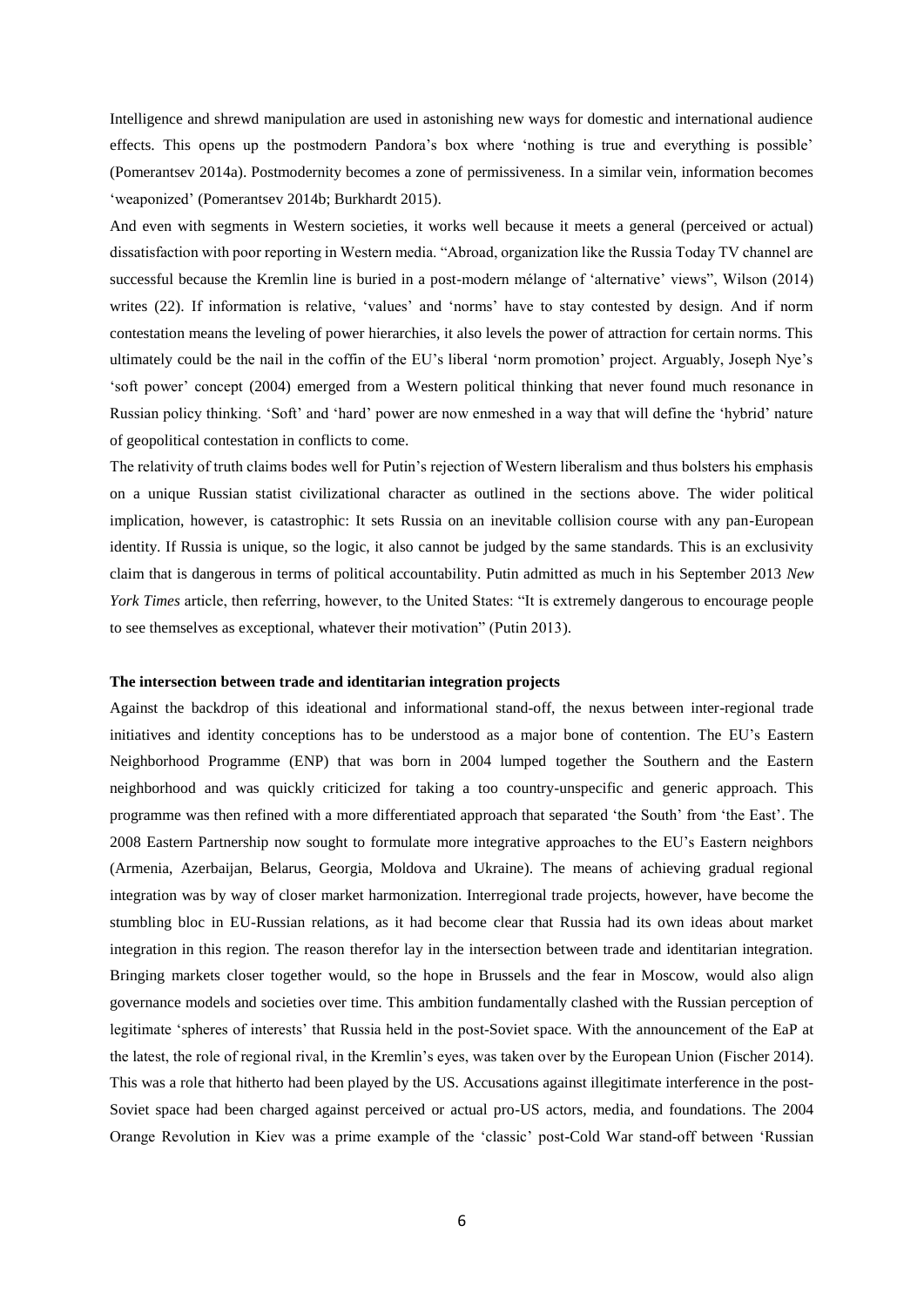Intelligence and shrewd manipulation are used in astonishing new ways for domestic and international audience effects. This opens up the postmodern Pandora's box where 'nothing is true and everything is possible' (Pomerantsev 2014a). Postmodernity becomes a zone of permissiveness. In a similar vein, information becomes 'weaponized' (Pomerantsev 2014b; Burkhardt 2015).

And even with segments in Western societies, it works well because it meets a general (perceived or actual) dissatisfaction with poor reporting in Western media. "Abroad, organization like the Russia Today TV channel are successful because the Kremlin line is buried in a post-modern mélange of 'alternative' views", Wilson (2014) writes (22). If information is relative, 'values' and 'norms' have to stay contested by design. And if norm contestation means the leveling of power hierarchies, it also levels the power of attraction for certain norms. This ultimately could be the nail in the coffin of the EU's liberal 'norm promotion' project. Arguably, Joseph Nye's 'soft power' concept (2004) emerged from a Western political thinking that never found much resonance in Russian policy thinking. 'Soft' and 'hard' power are now enmeshed in a way that will define the 'hybrid' nature of geopolitical contestation in conflicts to come.

The relativity of truth claims bodes well for Putin's rejection of Western liberalism and thus bolsters his emphasis on a unique Russian statist civilizational character as outlined in the sections above. The wider political implication, however, is catastrophic: It sets Russia on an inevitable collision course with any pan-European identity. If Russia is unique, so the logic, it also cannot be judged by the same standards. This is an exclusivity claim that is dangerous in terms of political accountability. Putin admitted as much in his September 2013 *New York Times* article, then referring, however, to the United States: "It is extremely dangerous to encourage people to see themselves as exceptional, whatever their motivation" (Putin 2013).

#### **The intersection between trade and identitarian integration projects**

Against the backdrop of this ideational and informational stand-off, the nexus between inter-regional trade initiatives and identity conceptions has to be understood as a major bone of contention. The EU's Eastern Neighborhood Programme (ENP) that was born in 2004 lumped together the Southern and the Eastern neighborhood and was quickly criticized for taking a too country-unspecific and generic approach. This programme was then refined with a more differentiated approach that separated 'the South' from 'the East'. The 2008 Eastern Partnership now sought to formulate more integrative approaches to the EU's Eastern neighbors (Armenia, Azerbaijan, Belarus, Georgia, Moldova and Ukraine). The means of achieving gradual regional integration was by way of closer market harmonization. Interregional trade projects, however, have become the stumbling bloc in EU-Russian relations, as it had become clear that Russia had its own ideas about market integration in this region. The reason therefor lay in the intersection between trade and identitarian integration. Bringing markets closer together would, so the hope in Brussels and the fear in Moscow, would also align governance models and societies over time. This ambition fundamentally clashed with the Russian perception of legitimate 'spheres of interests' that Russia held in the post-Soviet space. With the announcement of the EaP at the latest, the role of regional rival, in the Kremlin's eyes, was taken over by the European Union (Fischer 2014). This was a role that hitherto had been played by the US. Accusations against illegitimate interference in the post-Soviet space had been charged against perceived or actual pro-US actors, media, and foundations. The 2004 Orange Revolution in Kiev was a prime example of the 'classic' post-Cold War stand-off between 'Russian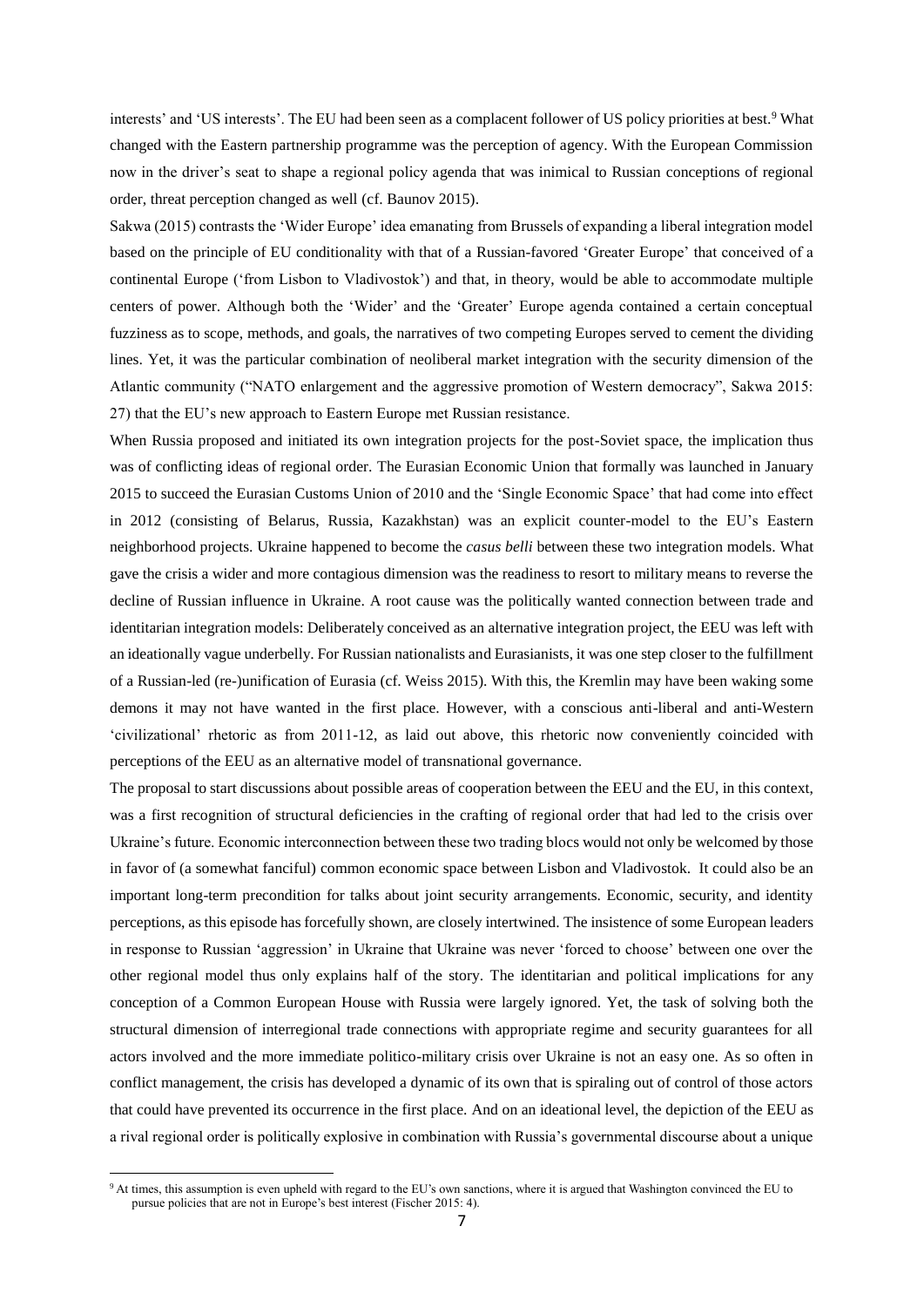interests' and 'US interests'. The EU had been seen as a complacent follower of US policy priorities at best.<sup>9</sup> What changed with the Eastern partnership programme was the perception of agency. With the European Commission now in the driver's seat to shape a regional policy agenda that was inimical to Russian conceptions of regional order, threat perception changed as well (cf. Baunov 2015).

Sakwa (2015) contrasts the 'Wider Europe' idea emanating from Brussels of expanding a liberal integration model based on the principle of EU conditionality with that of a Russian-favored 'Greater Europe' that conceived of a continental Europe ('from Lisbon to Vladivostok') and that, in theory, would be able to accommodate multiple centers of power. Although both the 'Wider' and the 'Greater' Europe agenda contained a certain conceptual fuzziness as to scope, methods, and goals, the narratives of two competing Europes served to cement the dividing lines. Yet, it was the particular combination of neoliberal market integration with the security dimension of the Atlantic community ("NATO enlargement and the aggressive promotion of Western democracy", Sakwa 2015: 27) that the EU's new approach to Eastern Europe met Russian resistance.

When Russia proposed and initiated its own integration projects for the post-Soviet space, the implication thus was of conflicting ideas of regional order. The Eurasian Economic Union that formally was launched in January 2015 to succeed the Eurasian Customs Union of 2010 and the 'Single Economic Space' that had come into effect in 2012 (consisting of Belarus, Russia, Kazakhstan) was an explicit counter-model to the EU's Eastern neighborhood projects. Ukraine happened to become the *casus belli* between these two integration models. What gave the crisis a wider and more contagious dimension was the readiness to resort to military means to reverse the decline of Russian influence in Ukraine. A root cause was the politically wanted connection between trade and identitarian integration models: Deliberately conceived as an alternative integration project, the EEU was left with an ideationally vague underbelly. For Russian nationalists and Eurasianists, it was one step closer to the fulfillment of a Russian-led (re-)unification of Eurasia (cf. Weiss 2015). With this, the Kremlin may have been waking some demons it may not have wanted in the first place. However, with a conscious anti-liberal and anti-Western 'civilizational' rhetoric as from 2011-12, as laid out above, this rhetoric now conveniently coincided with perceptions of the EEU as an alternative model of transnational governance.

The proposal to start discussions about possible areas of cooperation between the EEU and the EU, in this context, was a first recognition of structural deficiencies in the crafting of regional order that had led to the crisis over Ukraine's future. Economic interconnection between these two trading blocs would not only be welcomed by those in favor of (a somewhat fanciful) common economic space between Lisbon and Vladivostok. It could also be an important long-term precondition for talks about joint security arrangements. Economic, security, and identity perceptions, as this episode has forcefully shown, are closely intertwined. The insistence of some European leaders in response to Russian 'aggression' in Ukraine that Ukraine was never 'forced to choose' between one over the other regional model thus only explains half of the story. The identitarian and political implications for any conception of a Common European House with Russia were largely ignored. Yet, the task of solving both the structural dimension of interregional trade connections with appropriate regime and security guarantees for all actors involved and the more immediate politico-military crisis over Ukraine is not an easy one. As so often in conflict management, the crisis has developed a dynamic of its own that is spiraling out of control of those actors that could have prevented its occurrence in the first place. And on an ideational level, the depiction of the EEU as a rival regional order is politically explosive in combination with Russia's governmental discourse about a unique

1

<sup>9</sup> At times, this assumption is even upheld with regard to the EU's own sanctions, where it is argued that Washington convinced the EU to pursue policies that are not in Europe's best interest (Fischer 2015: 4).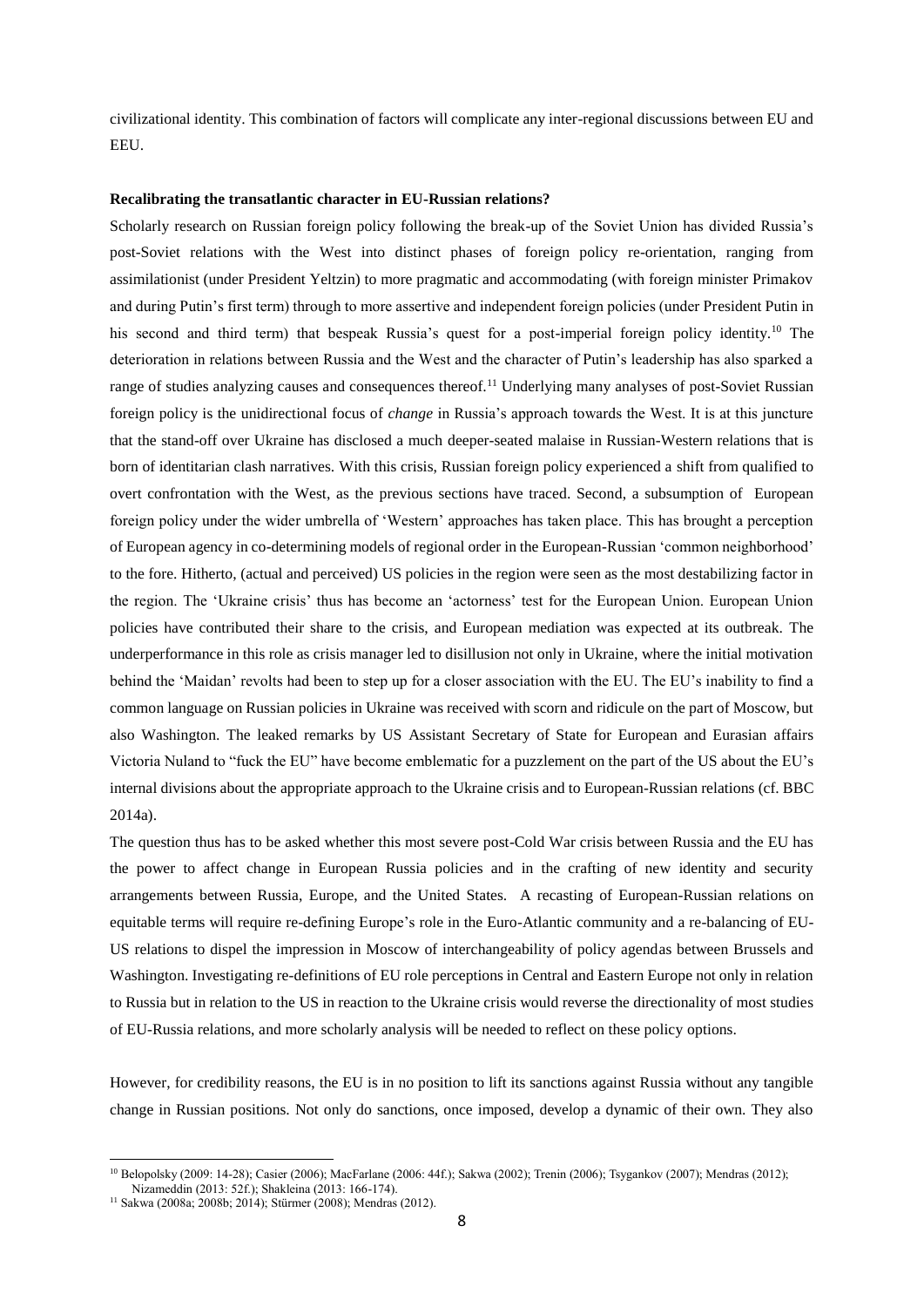civilizational identity. This combination of factors will complicate any inter-regional discussions between EU and EEU.

#### **Recalibrating the transatlantic character in EU-Russian relations?**

Scholarly research on Russian foreign policy following the break-up of the Soviet Union has divided Russia's post-Soviet relations with the West into distinct phases of foreign policy re-orientation, ranging from assimilationist (under President Yeltzin) to more pragmatic and accommodating (with foreign minister Primakov and during Putin's first term) through to more assertive and independent foreign policies (under President Putin in his second and third term) that bespeak Russia's quest for a post-imperial foreign policy identity.<sup>10</sup> The deterioration in relations between Russia and the West and the character of Putin's leadership has also sparked a range of studies analyzing causes and consequences thereof.<sup>11</sup> Underlying many analyses of post-Soviet Russian foreign policy is the unidirectional focus of *change* in Russia's approach towards the West. It is at this juncture that the stand-off over Ukraine has disclosed a much deeper-seated malaise in Russian-Western relations that is born of identitarian clash narratives. With this crisis, Russian foreign policy experienced a shift from qualified to overt confrontation with the West, as the previous sections have traced. Second, a subsumption of European foreign policy under the wider umbrella of 'Western' approaches has taken place. This has brought a perception of European agency in co-determining models of regional order in the European-Russian 'common neighborhood' to the fore. Hitherto, (actual and perceived) US policies in the region were seen as the most destabilizing factor in the region. The 'Ukraine crisis' thus has become an 'actorness' test for the European Union. European Union policies have contributed their share to the crisis, and European mediation was expected at its outbreak. The underperformance in this role as crisis manager led to disillusion not only in Ukraine, where the initial motivation behind the 'Maidan' revolts had been to step up for a closer association with the EU. The EU's inability to find a common language on Russian policies in Ukraine was received with scorn and ridicule on the part of Moscow, but also Washington. The leaked remarks by US Assistant Secretary of State for European and Eurasian affairs Victoria Nuland to "fuck the EU" have become emblematic for a puzzlement on the part of the US about the EU's internal divisions about the appropriate approach to the Ukraine crisis and to European-Russian relations (cf. BBC 2014a).

The question thus has to be asked whether this most severe post-Cold War crisis between Russia and the EU has the power to affect change in European Russia policies and in the crafting of new identity and security arrangements between Russia, Europe, and the United States. A recasting of European-Russian relations on equitable terms will require re-defining Europe's role in the Euro-Atlantic community and a re-balancing of EU-US relations to dispel the impression in Moscow of interchangeability of policy agendas between Brussels and Washington. Investigating re-definitions of EU role perceptions in Central and Eastern Europe not only in relation to Russia but in relation to the US in reaction to the Ukraine crisis would reverse the directionality of most studies of EU-Russia relations, and more scholarly analysis will be needed to reflect on these policy options.

However, for credibility reasons, the EU is in no position to lift its sanctions against Russia without any tangible change in Russian positions. Not only do sanctions, once imposed, develop a dynamic of their own. They also

**.** 

<sup>10</sup> Belopolsky (2009: 14-28); Casier (2006); MacFarlane (2006: 44f.); Sakwa (2002); Trenin (2006); Tsygankov (2007); Mendras (2012); Nizameddin (2013: 52f.); Shakleina (2013: 166-174).

<sup>&</sup>lt;sup>11</sup> Sakwa (2008a; 2008b; 2014); Stürmer (2008); Mendras (2012).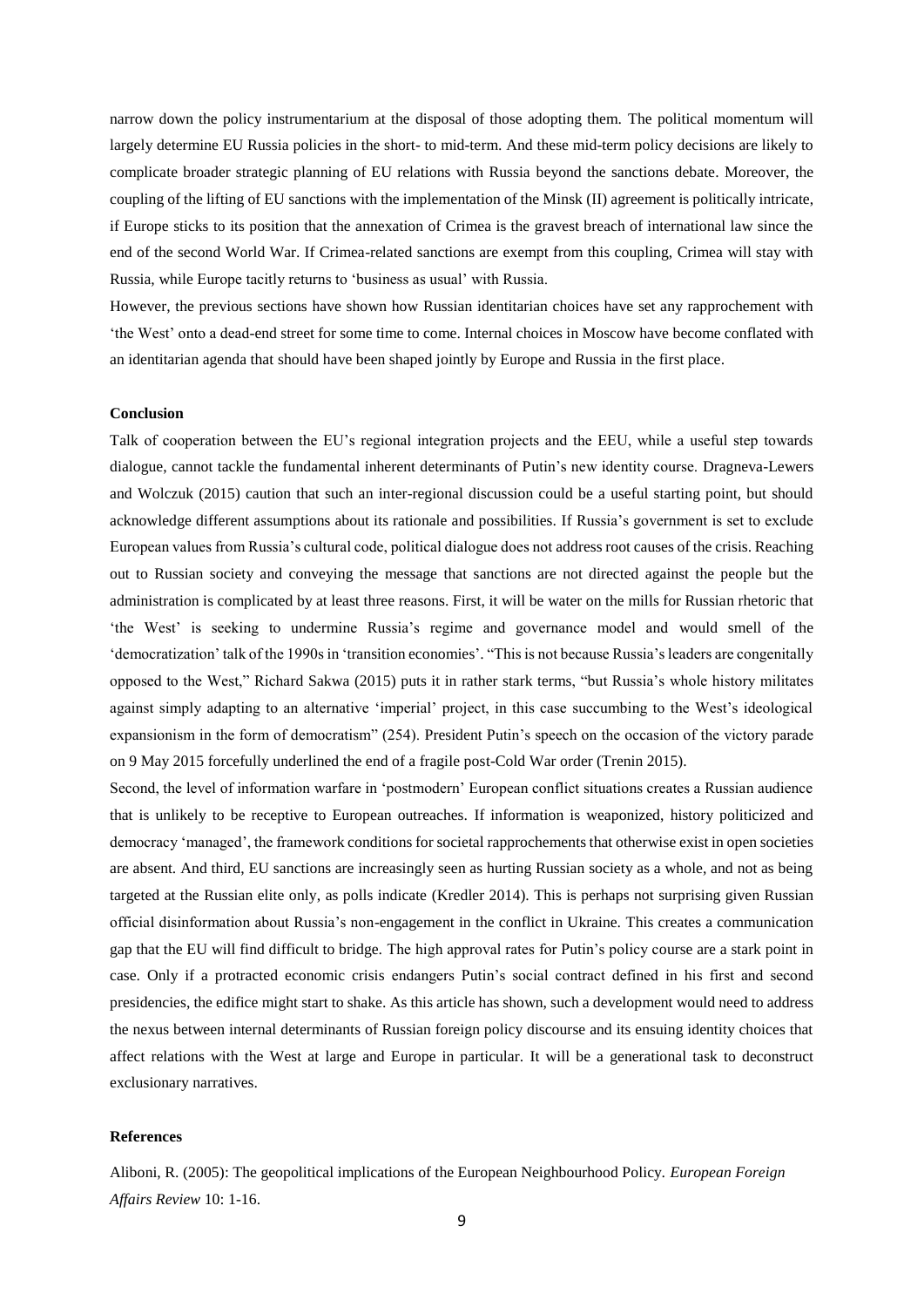narrow down the policy instrumentarium at the disposal of those adopting them. The political momentum will largely determine EU Russia policies in the short- to mid-term. And these mid-term policy decisions are likely to complicate broader strategic planning of EU relations with Russia beyond the sanctions debate. Moreover, the coupling of the lifting of EU sanctions with the implementation of the Minsk (II) agreement is politically intricate, if Europe sticks to its position that the annexation of Crimea is the gravest breach of international law since the end of the second World War. If Crimea-related sanctions are exempt from this coupling, Crimea will stay with Russia, while Europe tacitly returns to 'business as usual' with Russia.

However, the previous sections have shown how Russian identitarian choices have set any rapprochement with 'the West' onto a dead-end street for some time to come. Internal choices in Moscow have become conflated with an identitarian agenda that should have been shaped jointly by Europe and Russia in the first place.

#### **Conclusion**

Talk of cooperation between the EU's regional integration projects and the EEU, while a useful step towards dialogue, cannot tackle the fundamental inherent determinants of Putin's new identity course. Dragneva-Lewers and Wolczuk (2015) caution that such an inter-regional discussion could be a useful starting point, but should acknowledge different assumptions about its rationale and possibilities. If Russia's government is set to exclude European values from Russia's cultural code, political dialogue does not address root causes of the crisis. Reaching out to Russian society and conveying the message that sanctions are not directed against the people but the administration is complicated by at least three reasons. First, it will be water on the mills for Russian rhetoric that 'the West' is seeking to undermine Russia's regime and governance model and would smell of the 'democratization' talk of the 1990s in 'transition economies'. "This is not because Russia's leaders are congenitally opposed to the West," Richard Sakwa (2015) puts it in rather stark terms, "but Russia's whole history militates against simply adapting to an alternative 'imperial' project, in this case succumbing to the West's ideological expansionism in the form of democratism" (254). President Putin's speech on the occasion of the victory parade on 9 May 2015 forcefully underlined the end of a fragile post-Cold War order (Trenin 2015).

Second, the level of information warfare in 'postmodern' European conflict situations creates a Russian audience that is unlikely to be receptive to European outreaches. If information is weaponized, history politicized and democracy 'managed', the framework conditions for societal rapprochements that otherwise exist in open societies are absent. And third, EU sanctions are increasingly seen as hurting Russian society as a whole, and not as being targeted at the Russian elite only, as polls indicate (Kredler 2014). This is perhaps not surprising given Russian official disinformation about Russia's non-engagement in the conflict in Ukraine. This creates a communication gap that the EU will find difficult to bridge. The high approval rates for Putin's policy course are a stark point in case. Only if a protracted economic crisis endangers Putin's social contract defined in his first and second presidencies, the edifice might start to shake. As this article has shown, such a development would need to address the nexus between internal determinants of Russian foreign policy discourse and its ensuing identity choices that affect relations with the West at large and Europe in particular. It will be a generational task to deconstruct exclusionary narratives.

## **References**

Aliboni, R. (2005): The geopolitical implications of the European Neighbourhood Policy. *European Foreign Affairs Review* 10: 1-16.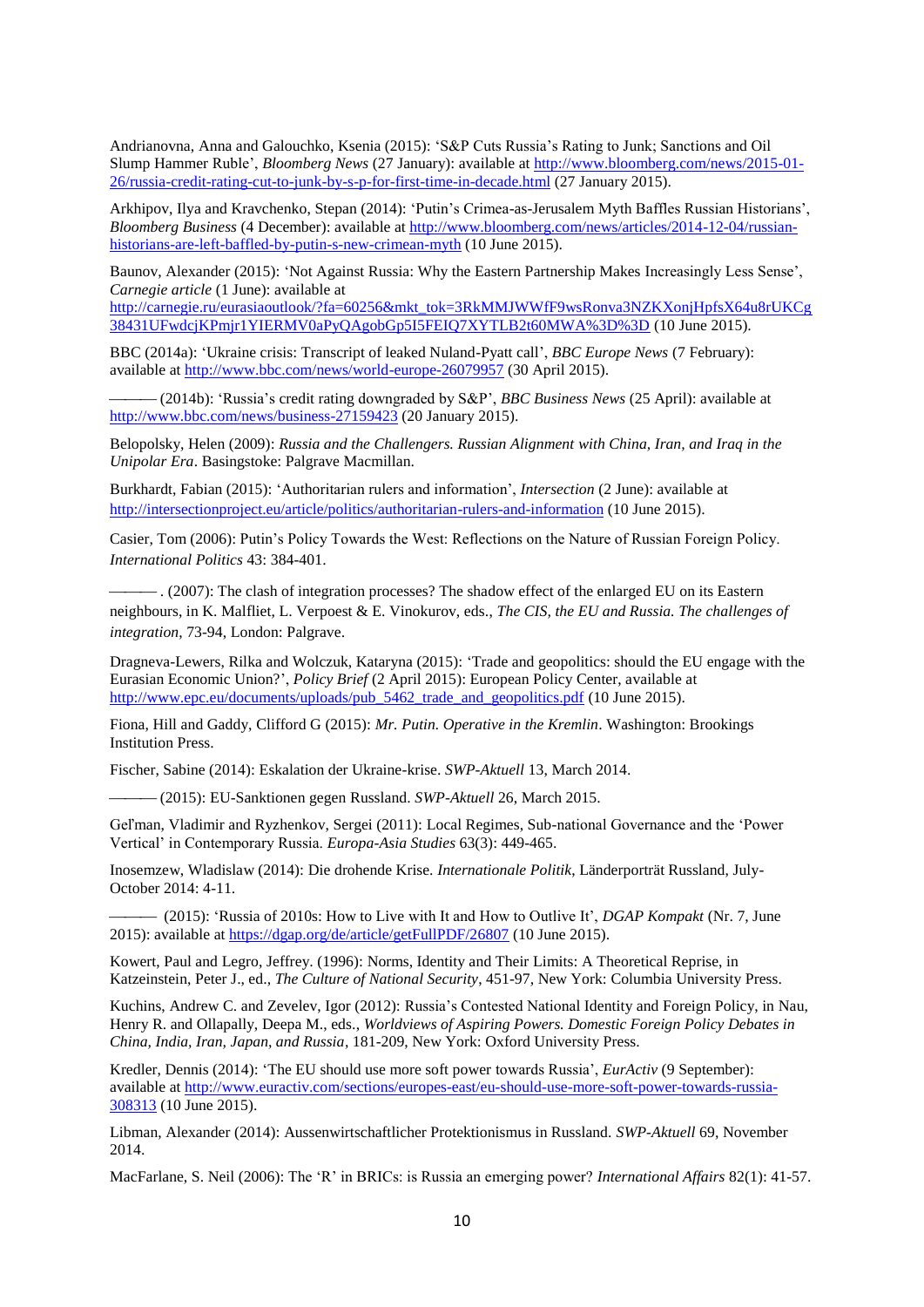Andrianovna, Anna and Galouchko, Ksenia (2015): 'S&P Cuts Russia's Rating to Junk; Sanctions and Oil Slump Hammer Ruble', *Bloomberg News* (27 January): available at [http://www.bloomberg.com/news/2015-01-](http://www.bloomberg.com/news/2015-01-26/russia-credit-rating-cut-to-junk-by-s-p-for-first-time-in-decade.html) [26/russia-credit-rating-cut-to-junk-by-s-p-for-first-time-in-decade.html](http://www.bloomberg.com/news/2015-01-26/russia-credit-rating-cut-to-junk-by-s-p-for-first-time-in-decade.html) (27 January 2015).

Arkhipov, Ilya and Kravchenko, Stepan (2014): 'Putin's Crimea-as-Jerusalem Myth Baffles Russian Historians', *Bloomberg Business* (4 December): available at [http://www.bloomberg.com/news/articles/2014-12-04/russian](http://www.bloomberg.com/news/articles/2014-12-04/russian-historians-are-left-baffled-by-putin-s-new-crimean-myth)[historians-are-left-baffled-by-putin-s-new-crimean-myth](http://www.bloomberg.com/news/articles/2014-12-04/russian-historians-are-left-baffled-by-putin-s-new-crimean-myth) (10 June 2015).

Baunov, Alexander (2015): 'Not Against Russia: Why the Eastern Partnership Makes Increasingly Less Sense', *Carnegie article* (1 June): available at

[http://carnegie.ru/eurasiaoutlook/?fa=60256&mkt\\_tok=3RkMMJWWfF9wsRonva3NZKXonjHpfsX64u8rUKCg](http://carnegie.ru/eurasiaoutlook/?fa=60256&mkt_tok=3RkMMJWWfF9wsRonva3NZKXonjHpfsX64u8rUKCg38431UFwdcjKPmjr1YIERMV0aPyQAgobGp5I5FEIQ7XYTLB2t60MWA%3D%3D) [38431UFwdcjKPmjr1YIERMV0aPyQAgobGp5I5FEIQ7XYTLB2t60MWA%3D%3D](http://carnegie.ru/eurasiaoutlook/?fa=60256&mkt_tok=3RkMMJWWfF9wsRonva3NZKXonjHpfsX64u8rUKCg38431UFwdcjKPmjr1YIERMV0aPyQAgobGp5I5FEIQ7XYTLB2t60MWA%3D%3D) (10 June 2015).

BBC (2014a): 'Ukraine crisis: Transcript of leaked Nuland-Pyatt call', *BBC Europe News* (7 February): available at<http://www.bbc.com/news/world-europe-26079957> (30 April 2015).

 (2014b): 'Russia's credit rating downgraded by S&P', *BBC Business News* (25 April): available at <http://www.bbc.com/news/business-27159423> (20 January 2015).

Belopolsky, Helen (2009): *Russia and the Challengers. Russian Alignment with China, Iran, and Iraq in the Unipolar Era*. Basingstoke: Palgrave Macmillan.

Burkhardt, Fabian (2015): 'Authoritarian rulers and information', *Intersection* (2 June): available at <http://intersectionproject.eu/article/politics/authoritarian-rulers-and-information> (10 June 2015).

Casier, Tom (2006): Putin's Policy Towards the West: Reflections on the Nature of Russian Foreign Policy. *International Politics* 43: 384-401.

 . (2007): The clash of integration processes? The shadow effect of the enlarged EU on its Eastern neighbours, in K. Malfliet, L. Verpoest & E. Vinokurov, eds., *The CIS, the EU and Russia. The challenges of integration*, 73-94, London: Palgrave.

Dragneva-Lewers, Rilka and Wolczuk, Kataryna (2015): 'Trade and geopolitics: should the EU engage with the Eurasian Economic Union?', *Policy Brief* (2 April 2015): European Policy Center, available at [http://www.epc.eu/documents/uploads/pub\\_5462\\_trade\\_and\\_geopolitics.pdf](http://www.epc.eu/documents/uploads/pub_5462_trade_and_geopolitics.pdf) (10 June 2015).

Fiona, Hill and Gaddy, Clifford G (2015): *Mr. Putin. Operative in the Kremlin*. Washington: Brookings Institution Press.

Fischer, Sabine (2014): Eskalation der Ukraine-krise. *SWP-Aktuell* 13, March 2014.

(2015): EU-Sanktionen gegen Russland. *SWP-Aktuell* 26, March 2015.

Geľman, Vladimir and Ryzhenkov, Sergei (2011): Local Regimes, Sub-national Governance and the 'Power Vertical' in Contemporary Russia. *Europa-Asia Studies* 63(3): 449-465.

Inosemzew, Wladislaw (2014): Die drohende Krise. *Internationale Politik*, Länderporträt Russland, July-October 2014: 4-11.

 (2015): 'Russia of 2010s: How to Live with It and How to Outlive It', *DGAP Kompakt* (Nr. 7, June 2015): available at <https://dgap.org/de/article/getFullPDF/26807> (10 June 2015).

Kowert, Paul and Legro, Jeffrey. (1996): Norms, Identity and Their Limits: A Theoretical Reprise, in Katzeinstein, Peter J., ed., *The Culture of National Security*, 451-97, New York: Columbia University Press.

Kuchins, Andrew C. and Zevelev, Igor (2012): Russia's Contested National Identity and Foreign Policy, in Nau, Henry R. and Ollapally, Deepa M., eds., *Worldviews of Aspiring Powers. Domestic Foreign Policy Debates in China, India, Iran, Japan, and Russia*, 181-209, New York: Oxford University Press.

Kredler, Dennis (2014): 'The EU should use more soft power towards Russia', *EurActiv* (9 September): available at [http://www.euractiv.com/sections/europes-east/eu-should-use-more-soft-power-towards-russia-](http://www.euractiv.com/sections/europes-east/eu-should-use-more-soft-power-towards-russia-308313)[308313](http://www.euractiv.com/sections/europes-east/eu-should-use-more-soft-power-towards-russia-308313) (10 June 2015).

Libman, Alexander (2014): Aussenwirtschaftlicher Protektionismus in Russland. *SWP-Aktuell* 69, November 2014.

MacFarlane, S. Neil (2006): The 'R' in BRICs: is Russia an emerging power? *International Affairs* 82(1): 41-57.